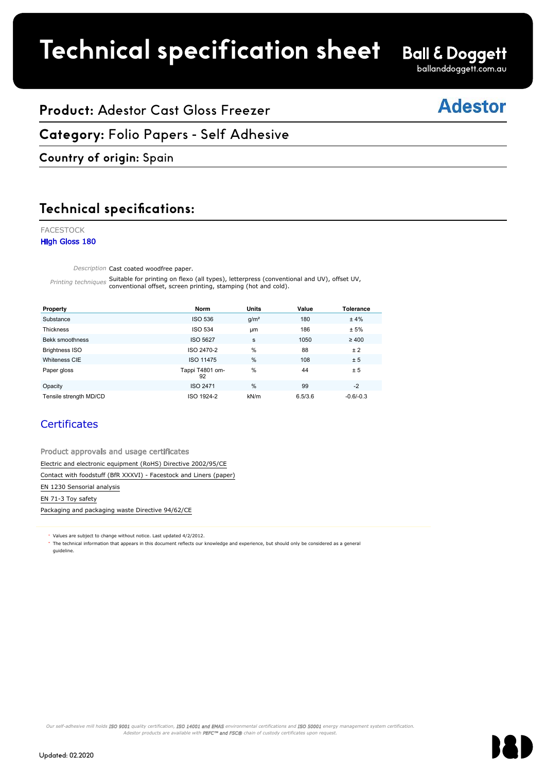# **Product spec sheet Technical specification sheet**

**Ball & Doggett** 

ballanddoggett.com.au

## **Adestor**

## **Product:** Adestor Cast Gloss Freezer

#### **Category:** Folio Papers - Self Adhesive FACESTOCK

## **Country of origin:** Spain

### **Technical specifications:** <u>**Addition**</u> Specifications.

#### FACESTOCK High Gloss 180

Description Cast coated woodfree paper.

Printing techniques Suitable for printing on flexo (all types), letterpress (conventional and UV), offset UV, conventional offset, screen printing, stamping (hot and cold).

| Property                                                          | <b>Norm</b>           | <b>Units</b>     | Value   | <b>Tolerance</b> |  |  |  |
|-------------------------------------------------------------------|-----------------------|------------------|---------|------------------|--|--|--|
| Substance                                                         | <b>ISO 536</b>        | g/m <sup>2</sup> | 180     | ±4%              |  |  |  |
| <b>Thickness</b>                                                  | <b>ISO 534</b>        | <b>um</b>        | 186     | ± 5%             |  |  |  |
| Bekk smoothness                                                   | <b>ISO 5627</b>       | s                | 1050    | $\geq 400$       |  |  |  |
| <b>Brightness ISO</b>                                             | ISO 2470-2            | %                | 88      | ± 2              |  |  |  |
| Whiteness CIE                                                     | ISO 11475             | %                | 108     | ± 5              |  |  |  |
| Paper gloss                                                       | Tappi T4801 om-<br>92 | %                | 44      | ± 5              |  |  |  |
| Opacity                                                           | ISO 2471              | %                | 99      | $-2$             |  |  |  |
| Tensile strength MD/CD                                            | ISO 1924-2            | kN/m             | 6.5/3.6 | $-0.6/-0.3$      |  |  |  |
| <b>Certificates</b>                                               |                       |                  |         |                  |  |  |  |
| Product approvals and usage certificates                          |                       |                  |         |                  |  |  |  |
| Electric and electronic equipment (RoHS) Directive 2002/95/CE     |                       |                  |         |                  |  |  |  |
| Contact with foodstuff (BfR XXXVI) - Facestock and Liners (paper) |                       |                  |         |                  |  |  |  |
| EN 1230 Sensorial analysis                                        |                       |                  |         |                  |  |  |  |
| EN 71-3 Toy safety                                                |                       |                  |         |                  |  |  |  |
| Packaging and packaging waste Directive 94/62/CE                  |                       |                  |         |                  |  |  |  |

## **Certificates**

Packaging and packaging waste Directive 94/62/CE

Values are subject to change without notice. Last updated 4/2/2012.

The technical information that appears in this document reflects our knowledge and experience, but should only be considered as a general guideline.

Our self-adhesive mill holds ISO 9001 quality certification, ISO 14001 and EMAS environmental certifications and ISO 50001 energy management system certification. Mustor products are available with PEFC™ and FSC® chain of custody certificates upon request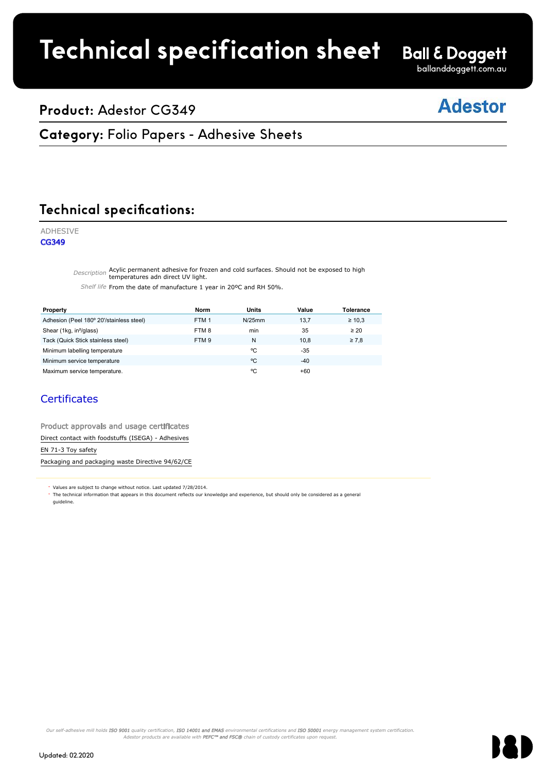# **Technical specification sheet**

**Ball & Doggett** ballanddoggett.com.au

## **Product:** Adestor CG349

## **Adestor**

## **Category: Folio Papers - Adhesive Sheets**

Faces of the contract of the contract of the contract of the contract of the contract of the contract of the c

#### **Technical specifications:** <u>Fedinical</u><br>————————————————————

### ADHESIVE

CG349

Description Acylic permanent adhesive for frozen and cold surfaces. Should not be exposed to high temperatures adn direct UV light.  $r_{\text{atures}}$  and direct IIV light

**Property Norm Units Value Tolerance**

Shelf life From the date of manufacture 1 year in 20°C and RH 50%.

| Property                                                                                                                                                                                                                          | <b>Norm</b>      | Units     | Value | <b>Tolerance</b> |
|-----------------------------------------------------------------------------------------------------------------------------------------------------------------------------------------------------------------------------------|------------------|-----------|-------|------------------|
| Adhesion (Peel 180° 20'/stainless steel)                                                                                                                                                                                          | FTM <sub>1</sub> | $N/25$ mm | 13,7  | $\geq 10.3$      |
| Shear (1kg, in <sup>2</sup> /glass)                                                                                                                                                                                               | FTM8             | min       | 35    | $\geq 20$        |
| Tack (Quick Stick stainless steel)                                                                                                                                                                                                | FTM <sub>9</sub> | N         | 10.8  | $\geq 7.8$       |
| Minimum labelling temperature                                                                                                                                                                                                     |                  | °C        | $-35$ |                  |
| Minimum service temperature                                                                                                                                                                                                       |                  | °C        | $-40$ |                  |
| Maximum service temperature.                                                                                                                                                                                                      |                  | °C        | $+60$ |                  |
| <b>Certificates</b><br>Product approvals and usage certificates                                                                                                                                                                   |                  |           |       |                  |
| Direct contact with foodstuffs (ISEGA) - Adhesives                                                                                                                                                                                |                  |           |       |                  |
| EN 71-3 Toy safety                                                                                                                                                                                                                |                  |           |       |                  |
| Packaging and packaging waste Directive 94/62/CE                                                                                                                                                                                  |                  |           |       |                  |
| * Values are subject to change without notice. Last updated 7/28/2014.<br>The technical information that appears in this document reflects our knowledge and experience, but should only be considered as a general<br>quideline. |                  |           |       |                  |

## **Certificates**

Our self-adhesive mill holds **ISO 9001** quality certification, **ISO 14001 and EMAS** environmental certifications and **ISO 50001** energy management system certification.<br>Adestor products are available with **PEFC™ and FSC®**